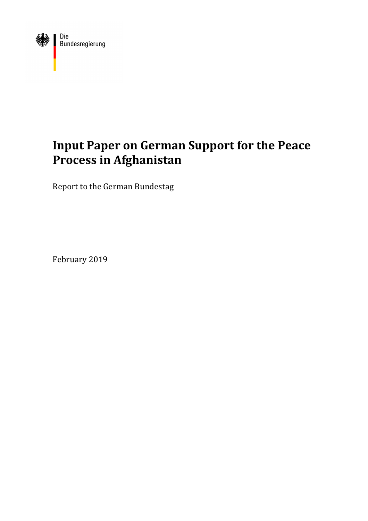

# **Input Paper on German Support for the Peace Process in Afghanistan**

Report to the German Bundestag

February 2019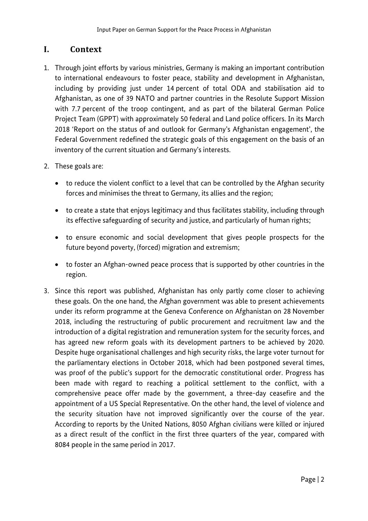### **I. Context**

- 1. Through joint efforts by various ministries, Germany is making an important contribution to international endeavours to foster peace, stability and development in Afghanistan, including by providing just under 14 percent of total ODA and stabilisation aid to Afghanistan, as one of 39 NATO and partner countries in the Resolute Support Mission with 7.7 percent of the troop contingent, and as part of the bilateral German Police Project Team (GPPT) with approximately 50 federal and Land police officers. In its March 2018 'Report on the status of and outlook for Germany's Afghanistan engagement', the Federal Government redefined the strategic goals of this engagement on the basis of an inventory of the current situation and Germany's interests.
- 2. These goals are:
	- to reduce the violent conflict to a level that can be controlled by the Afghan security forces and minimises the threat to Germany, its allies and the region;
	- to create a state that enjoys legitimacy and thus facilitates stability, including through its effective safeguarding of security and justice, and particularly of human rights;
	- to ensure economic and social development that gives people prospects for the future beyond poverty, (forced) migration and extremism;
	- to foster an Afghan-owned peace process that is supported by other countries in the region.
- 3. Since this report was published, Afghanistan has only partly come closer to achieving these goals. On the one hand, the Afghan government was able to present achievements under its reform programme at the Geneva Conference on Afghanistan on 28 November 2018, including the restructuring of public procurement and recruitment law and the introduction of a digital registration and remuneration system for the security forces, and has agreed new reform goals with its development partners to be achieved by 2020. Despite huge organisational challenges and high security risks, the large voter turnout for the parliamentary elections in October 2018, which had been postponed several times, was proof of the public's support for the democratic constitutional order. Progress has been made with regard to reaching a political settlement to the conflict, with a comprehensive peace offer made by the government, a three-day ceasefire and the appointment of a US Special Representative. On the other hand, the level of violence and the security situation have not improved significantly over the course of the year. According to reports by the United Nations, 8050 Afghan civilians were killed or injured as a direct result of the conflict in the first three quarters of the year, compared with 8084 people in the same period in 2017.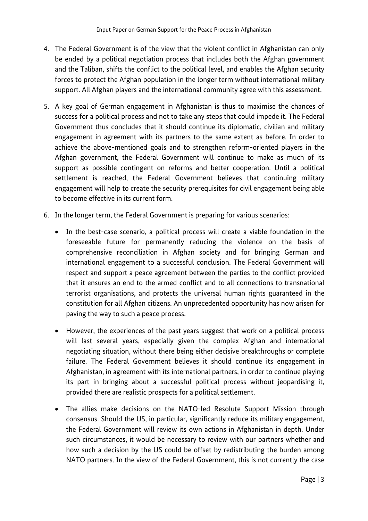- 4. The Federal Government is of the view that the violent conflict in Afghanistan can only be ended by a political negotiation process that includes both the Afghan government and the Taliban, shifts the conflict to the political level, and enables the Afghan security forces to protect the Afghan population in the longer term without international military support. All Afghan players and the international community agree with this assessment.
- 5. A key goal of German engagement in Afghanistan is thus to maximise the chances of success for a political process and not to take any steps that could impede it. The Federal Government thus concludes that it should continue its diplomatic, civilian and military engagement in agreement with its partners to the same extent as before. In order to achieve the above-mentioned goals and to strengthen reform-oriented players in the Afghan government, the Federal Government will continue to make as much of its support as possible contingent on reforms and better cooperation. Until a political settlement is reached, the Federal Government believes that continuing military engagement will help to create the security prerequisites for civil engagement being able to become effective in its current form.
- 6. In the longer term, the Federal Government is preparing for various scenarios:
	- In the best-case scenario, a political process will create a viable foundation in the foreseeable future for permanently reducing the violence on the basis of comprehensive reconciliation in Afghan society and for bringing German and international engagement to a successful conclusion. The Federal Government will respect and support a peace agreement between the parties to the conflict provided that it ensures an end to the armed conflict and to all connections to transnational terrorist organisations, and protects the universal human rights guaranteed in the constitution for all Afghan citizens. An unprecedented opportunity has now arisen for paving the way to such a peace process.
	- However, the experiences of the past years suggest that work on a political process will last several years, especially given the complex Afghan and international negotiating situation, without there being either decisive breakthroughs or complete failure. The Federal Government believes it should continue its engagement in Afghanistan, in agreement with its international partners, in order to continue playing its part in bringing about a successful political process without jeopardising it, provided there are realistic prospects for a political settlement.
	- The allies make decisions on the NATO-led Resolute Support Mission through consensus. Should the US, in particular, significantly reduce its military engagement, the Federal Government will review its own actions in Afghanistan in depth. Under such circumstances, it would be necessary to review with our partners whether and how such a decision by the US could be offset by redistributing the burden among NATO partners. In the view of the Federal Government, this is not currently the case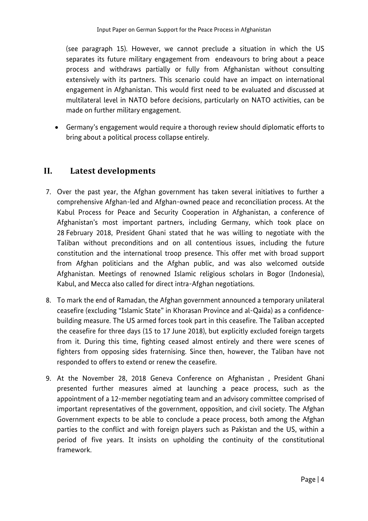(see paragraph 15). However, we cannot preclude a situation in which the US separates its future military engagement from endeavours to bring about a peace process and withdraws partially or fully from Afghanistan without consulting extensively with its partners. This scenario could have an impact on international engagement in Afghanistan. This would first need to be evaluated and discussed at multilateral level in NATO before decisions, particularly on NATO activities, can be made on further military engagement.

• Germany's engagement would require a thorough review should diplomatic efforts to bring about a political process collapse entirely.

### **II. Latest developments**

- 7. Over the past year, the Afghan government has taken several initiatives to further a comprehensive Afghan-led and Afghan-owned peace and reconciliation process. At the Kabul Process for Peace and Security Cooperation in Afghanistan, a conference of Afghanistan's most important partners, including Germany, which took place on 28 February 2018, President Ghani stated that he was willing to negotiate with the Taliban without preconditions and on all contentious issues, including the future constitution and the international troop presence. This offer met with broad support from Afghan politicians and the Afghan public, and was also welcomed outside Afghanistan. Meetings of renowned Islamic religious scholars in Bogor (Indonesia), Kabul, and Mecca also called for direct intra-Afghan negotiations.
- 8. To mark the end of Ramadan, the Afghan government announced a temporary unilateral ceasefire (excluding "Islamic State" in Khorasan Province and al-Qaida) as a confidencebuilding measure. The US armed forces took part in this ceasefire. The Taliban accepted the ceasefire for three days (15 to 17 June 2018), but explicitly excluded foreign targets from it. During this time, fighting ceased almost entirely and there were scenes of fighters from opposing sides fraternising. Since then, however, the Taliban have not responded to offers to extend or renew the ceasefire.
- 9. At the November 28, 2018 Geneva Conference on Afghanistan , President Ghani presented further measures aimed at launching a peace process, such as the appointment of a 12-member negotiating team and an advisory committee comprised of important representatives of the government, opposition, and civil society. The Afghan Government expects to be able to conclude a peace process, both among the Afghan parties to the conflict and with foreign players such as Pakistan and the US, within a period of five years. It insists on upholding the continuity of the constitutional framework.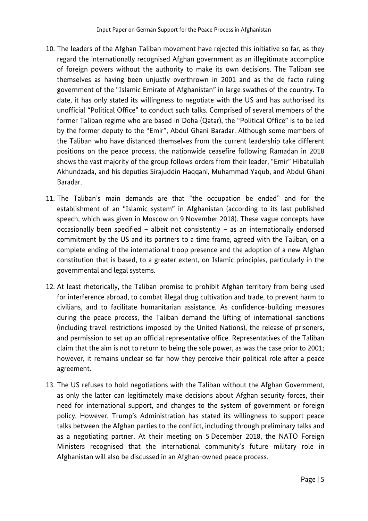- 10. The leaders of the Afghan Taliban movement have rejected this initiative so far, as they regard the internationally recognised Afghan government as an illegitimate accomplice of foreign powers without the authority to make its own decisions. The Taliban see themselves as having been unjustly overthrown in 2001 and as the de facto ruling government of the "Islamic Emirate of Afghanistan" in large swathes of the country. To date, it has only stated its willingness to negotiate with the US and has authorised its unofficial "Political Office" to conduct such talks. Comprised of several members of the former Taliban regime who are based in Doha (Qatar), the "Political Office" is to be led by the former deputy to the "Emir", Abdul Ghani Baradar. Although some members of the Taliban who have distanced themselves from the current leadership take different positions on the peace process, the nationwide ceasefire following Ramadan in 2018 shows the vast majority of the group follows orders from their leader, "Emir" Hibatullah Akhundzada, and his deputies Sirajuddin Haqqani, Muhammad Yaqub, and Abdul Ghani Baradar.
- 11. The Taliban's main demands are that "the occupation be ended" and for the establishment of an "Islamic system" in Afghanistan (according to its last published speech, which was given in Moscow on 9 November 2018). These vague concepts have occasionally been specified – albeit not consistently – as an internationally endorsed commitment by the US and its partners to a time frame, agreed with the Taliban, on a complete ending of the international troop presence and the adoption of a new Afghan constitution that is based, to a greater extent, on Islamic principles, particularly in the governmental and legal systems.
- 12. At least rhetorically, the Taliban promise to prohibit Afghan territory from being used for interference abroad, to combat illegal drug cultivation and trade, to prevent harm to civilians, and to facilitate humanitarian assistance. As confidence-building measures during the peace process, the Taliban demand the lifting of international sanctions (including travel restrictions imposed by the United Nations), the release of prisoners, and permission to set up an official representative office. Representatives of the Taliban claim that the aim is not to return to being the sole power, as was the case prior to 2001; however, it remains unclear so far how they perceive their political role after a peace agreement.
- 13. The US refuses to hold negotiations with the Taliban without the Afghan Government, as only the latter can legitimately make decisions about Afghan security forces, their need for international support, and changes to the system of government or foreign policy. However, Trump's Administration has stated its willingness to support peace talks between the Afghan parties to the conflict, including through preliminary talks and as a negotiating partner. At their meeting on 5 December 2018, the NATO Foreign Ministers recognised that the international community's future military role in Afghanistan will also be discussed in an Afghan-owned peace process.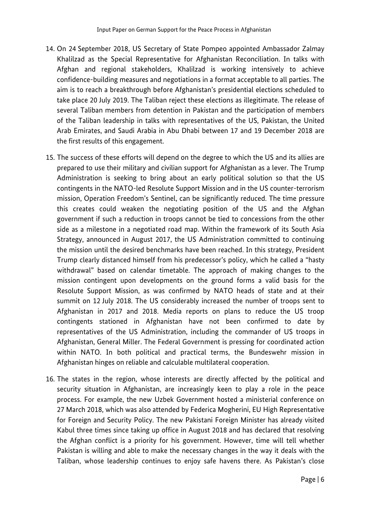- 14. On 24 September 2018, US Secretary of State Pompeo appointed Ambassador Zalmay Khalilzad as the Special Representative for Afghanistan Reconciliation. In talks with Afghan and regional stakeholders, Khalilzad is working intensively to achieve confidence-building measures and negotiations in a format acceptable to all parties. The aim is to reach a breakthrough before Afghanistan's presidential elections scheduled to take place 20 July 2019. The Taliban reject these elections as illegitimate. The release of several Taliban members from detention in Pakistan and the participation of members of the Taliban leadership in talks with representatives of the US, Pakistan, the United Arab Emirates, and Saudi Arabia in Abu Dhabi between 17 and 19 December 2018 are the first results of this engagement.
- 15. The success of these efforts will depend on the degree to which the US and its allies are prepared to use their military and civilian support for Afghanistan as a lever. The Trump Administration is seeking to bring about an early political solution so that the US contingents in the NATO-led Resolute Support Mission and in the US counter-terrorism mission, Operation Freedom's Sentinel, can be significantly reduced. The time pressure this creates could weaken the negotiating position of the US and the Afghan government if such a reduction in troops cannot be tied to concessions from the other side as a milestone in a negotiated road map. Within the framework of its South Asia Strategy, announced in August 2017, the US Administration committed to continuing the mission until the desired benchmarks have been reached. In this strategy, President Trump clearly distanced himself from his predecessor's policy, which he called a "hasty withdrawal" based on calendar timetable. The approach of making changes to the mission contingent upon developments on the ground forms a valid basis for the Resolute Support Mission, as was confirmed by NATO heads of state and at their summit on 12 July 2018. The US considerably increased the number of troops sent to Afghanistan in 2017 and 2018. Media reports on plans to reduce the US troop contingents stationed in Afghanistan have not been confirmed to date by representatives of the US Administration, including the commander of US troops in Afghanistan, General Miller. The Federal Government is pressing for coordinated action within NATO. In both political and practical terms, the Bundeswehr mission in Afghanistan hinges on reliable and calculable multilateral cooperation.
- 16. The states in the region, whose interests are directly affected by the political and security situation in Afghanistan, are increasingly keen to play a role in the peace process. For example, the new Uzbek Government hosted a ministerial conference on 27 March 2018, which was also attended by Federica Mogherini, EU High Representative for Foreign and Security Policy. The new Pakistani Foreign Minister has already visited Kabul three times since taking up office in August 2018 and has declared that resolving the Afghan conflict is a priority for his government. However, time will tell whether Pakistan is willing and able to make the necessary changes in the way it deals with the Taliban, whose leadership continues to enjoy safe havens there. As Pakistan's close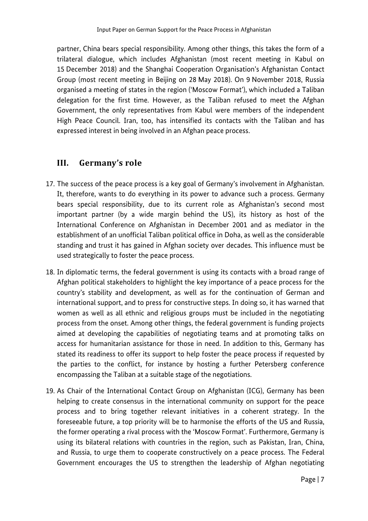partner, China bears special responsibility. Among other things, this takes the form of a trilateral dialogue, which includes Afghanistan (most recent meeting in Kabul on 15 December 2018) and the Shanghai Cooperation Organisation's Afghanistan Contact Group (most recent meeting in Beijing on 28 May 2018). On 9 November 2018, Russia organised a meeting of states in the region ('Moscow Format'), which included a Taliban delegation for the first time. However, as the Taliban refused to meet the Afghan Government, the only representatives from Kabul were members of the independent High Peace Council. Iran, too, has intensified its contacts with the Taliban and has expressed interest in being involved in an Afghan peace process.

## **III. Germany's role**

- 17. The success of the peace process is a key goal of Germany's involvement in Afghanistan. It, therefore, wants to do everything in its power to advance such a process. Germany bears special responsibility, due to its current role as Afghanistan's second most important partner (by a wide margin behind the US), its history as host of the International Conference on Afghanistan in December 2001 and as mediator in the establishment of an unofficial Taliban political office in Doha, as well as the considerable standing and trust it has gained in Afghan society over decades. This influence must be used strategically to foster the peace process.
- 18. In diplomatic terms, the federal government is using its contacts with a broad range of Afghan political stakeholders to highlight the key importance of a peace process for the country's stability and development, as well as for the continuation of German and international support, and to press for constructive steps. In doing so, it has warned that women as well as all ethnic and religious groups must be included in the negotiating process from the onset. Among other things, the federal government is funding projects aimed at developing the capabilities of negotiating teams and at promoting talks on access for humanitarian assistance for those in need. In addition to this, Germany has stated its readiness to offer its support to help foster the peace process if requested by the parties to the conflict, for instance by hosting a further Petersberg conference encompassing the Taliban at a suitable stage of the negotiations.
- 19. As Chair of the International Contact Group on Afghanistan (ICG), Germany has been helping to create consensus in the international community on support for the peace process and to bring together relevant initiatives in a coherent strategy. In the foreseeable future, a top priority will be to harmonise the efforts of the US and Russia, the former operating a rival process with the 'Moscow Format'. Furthermore, Germany is using its bilateral relations with countries in the region, such as Pakistan, Iran, China, and Russia, to urge them to cooperate constructively on a peace process. The Federal Government encourages the US to strengthen the leadership of Afghan negotiating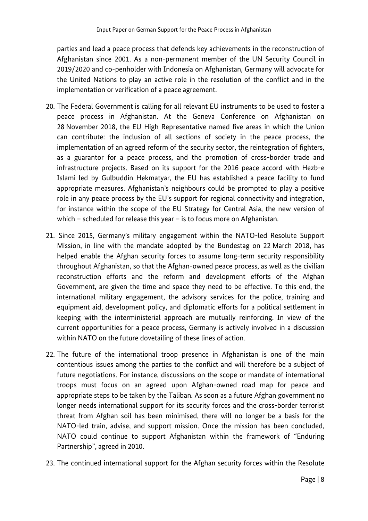parties and lead a peace process that defends key achievements in the reconstruction of Afghanistan since 2001. As a non-permanent member of the UN Security Council in 2019/2020 and co-penholder with Indonesia on Afghanistan, Germany will advocate for the United Nations to play an active role in the resolution of the conflict and in the implementation or verification of a peace agreement.

- 20. The Federal Government is calling for all relevant EU instruments to be used to foster a peace process in Afghanistan. At the Geneva Conference on Afghanistan on 28 November 2018, the EU High Representative named five areas in which the Union can contribute: the inclusion of all sections of society in the peace process, the implementation of an agreed reform of the security sector, the reintegration of fighters, as a guarantor for a peace process, and the promotion of cross-border trade and infrastructure projects. Based on its support for the 2016 peace accord with Hezb-e Islami led by Gulbuddin Hekmatyar, the EU has established a peace facility to fund appropriate measures. Afghanistan's neighbours could be prompted to play a positive role in any peace process by the EU's support for regional connectivity and integration, for instance within the scope of the EU Strategy for Central Asia, the new version of which – scheduled for release this year – is to focus more on Afghanistan.
- 21. Since 2015, Germany's military engagement within the NATO-led Resolute Support Mission, in line with the mandate adopted by the Bundestag on 22 March 2018, has helped enable the Afghan security forces to assume long-term security responsibility throughout Afghanistan, so that the Afghan-owned peace process, as well as the civilian reconstruction efforts and the reform and development efforts of the Afghan Government, are given the time and space they need to be effective. To this end, the international military engagement, the advisory services for the police, training and equipment aid, development policy, and diplomatic efforts for a political settlement in keeping with the interministerial approach are mutually reinforcing. In view of the current opportunities for a peace process, Germany is actively involved in a discussion within NATO on the future dovetailing of these lines of action.
- 22. The future of the international troop presence in Afghanistan is one of the main contentious issues among the parties to the conflict and will therefore be a subject of future negotiations. For instance, discussions on the scope or mandate of international troops must focus on an agreed upon Afghan-owned road map for peace and appropriate steps to be taken by the Taliban. As soon as a future Afghan government no longer needs international support for its security forces and the cross-border terrorist threat from Afghan soil has been minimised, there will no longer be a basis for the NATO-led train, advise, and support mission. Once the mission has been concluded, NATO could continue to support Afghanistan within the framework of "Enduring Partnership", agreed in 2010.
- 23. The continued international support for the Afghan security forces within the Resolute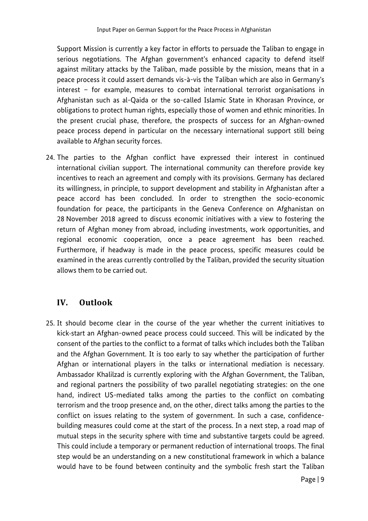Support Mission is currently a key factor in efforts to persuade the Taliban to engage in serious negotiations. The Afghan government's enhanced capacity to defend itself against military attacks by the Taliban, made possible by the mission, means that in a peace process it could assert demands vis-à-vis the Taliban which are also in Germany's interest – for example, measures to combat international terrorist organisations in Afghanistan such as al-Qaida or the so-called Islamic State in Khorasan Province, or obligations to protect human rights, especially those of women and ethnic minorities. In the present crucial phase, therefore, the prospects of success for an Afghan-owned peace process depend in particular on the necessary international support still being available to Afghan security forces.

24. The parties to the Afghan conflict have expressed their interest in continued international civilian support. The international community can therefore provide key incentives to reach an agreement and comply with its provisions. Germany has declared its willingness, in principle, to support development and stability in Afghanistan after a peace accord has been concluded. In order to strengthen the socio-economic foundation for peace, the participants in the Geneva Conference on Afghanistan on 28 November 2018 agreed to discuss economic initiatives with a view to fostering the return of Afghan money from abroad, including investments, work opportunities, and regional economic cooperation, once a peace agreement has been reached. Furthermore, if headway is made in the peace process, specific measures could be examined in the areas currently controlled by the Taliban, provided the security situation allows them to be carried out.

## **IV. Outlook**

25. It should become clear in the course of the year whether the current initiatives to kick-start an Afghan-owned peace process could succeed. This will be indicated by the consent of the parties to the conflict to a format of talks which includes both the Taliban and the Afghan Government. It is too early to say whether the participation of further Afghan or international players in the talks or international mediation is necessary. Ambassador Khalilzad is currently exploring with the Afghan Government, the Taliban, and regional partners the possibility of two parallel negotiating strategies: on the one hand, indirect US-mediated talks among the parties to the conflict on combating terrorism and the troop presence and, on the other, direct talks among the parties to the conflict on issues relating to the system of government. In such a case, confidencebuilding measures could come at the start of the process. In a next step, a road map of mutual steps in the security sphere with time and substantive targets could be agreed. This could include a temporary or permanent reduction of international troops. The final step would be an understanding on a new constitutional framework in which a balance would have to be found between continuity and the symbolic fresh start the Taliban